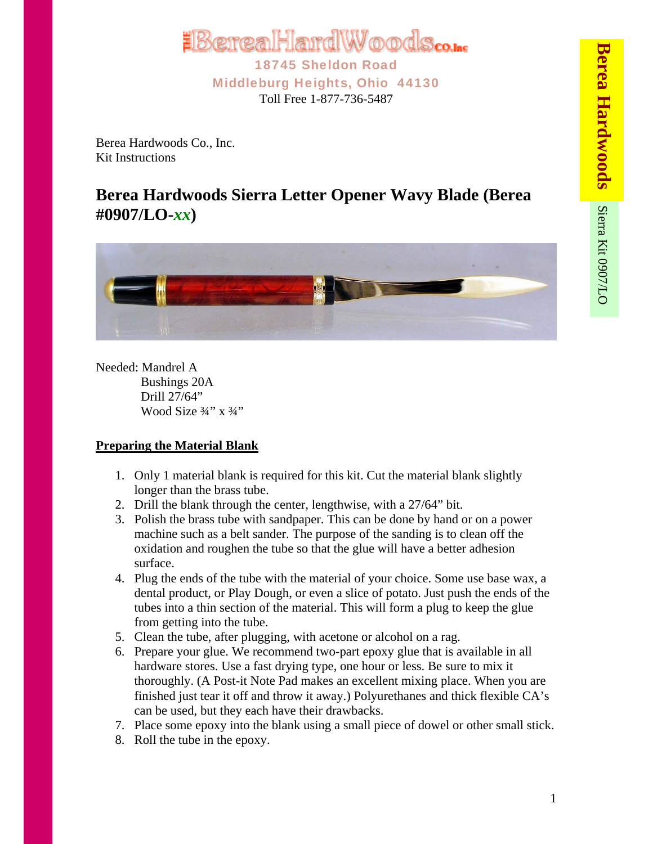

Berea Hardwoods Co., Inc. Kit Instructions

## **Berea Hardwoods Sierra Letter Opener Wavy Blade (Berea #0907/LO-***xx***)**



Needed: Mandrel A Bushings 20A Drill 27/64" Wood Size 3/4" x 3/4"

## **Preparing the Material Blank**

- 1. Only 1 material blank is required for this kit. Cut the material blank slightly longer than the brass tube.
- 2. Drill the blank through the center, lengthwise, with a 27/64" bit.
- 3. Polish the brass tube with sandpaper. This can be done by hand or on a power machine such as a belt sander. The purpose of the sanding is to clean off the oxidation and roughen the tube so that the glue will have a better adhesion surface.
- 4. Plug the ends of the tube with the material of your choice. Some use base wax, a dental product, or Play Dough, or even a slice of potato. Just push the ends of the tubes into a thin section of the material. This will form a plug to keep the glue from getting into the tube.
- 5. Clean the tube, after plugging, with acetone or alcohol on a rag.
- 6. Prepare your glue. We recommend two-part epoxy glue that is available in all hardware stores. Use a fast drying type, one hour or less. Be sure to mix it thoroughly. (A Post-it Note Pad makes an excellent mixing place. When you are finished just tear it off and throw it away.) Polyurethanes and thick flexible CA's can be used, but they each have their drawbacks.
- 7. Place some epoxy into the blank using a small piece of dowel or other small stick.
- 8. Roll the tube in the epoxy.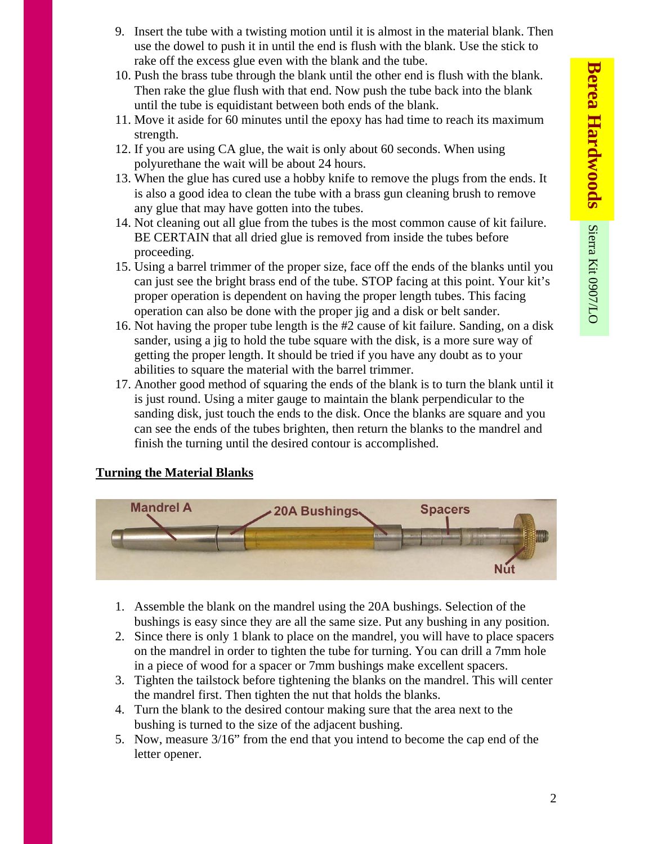- 9. Insert the tube with a twisting motion until it is almost in the material blank. Then use the dowel to push it in until the end is flush with the blank. Use the stick to rake off the excess glue even with the blank and the tube.
- 10. Push the brass tube through the blank until the other end is flush with the blank. Then rake the glue flush with that end. Now push the tube back into the blank until the tube is equidistant between both ends of the blank.
- 11. Move it aside for 60 minutes until the epoxy has had time to reach its maximum strength.
- 12. If you are using CA glue, the wait is only about 60 seconds. When using polyurethane the wait will be about 24 hours.
- 13. When the glue has cured use a hobby knife to remove the plugs from the ends. It is also a good idea to clean the tube with a brass gun cleaning brush to remove any glue that may have gotten into the tubes.
- 14. Not cleaning out all glue from the tubes is the most common cause of kit failure. BE CERTAIN that all dried glue is removed from inside the tubes before proceeding.
- 15. Using a barrel trimmer of the proper size, face off the ends of the blanks until you can just see the bright brass end of the tube. STOP facing at this point. Your kit's proper operation is dependent on having the proper length tubes. This facing operation can also be done with the proper jig and a disk or belt sander.
- 16. Not having the proper tube length is the #2 cause of kit failure. Sanding, on a disk sander, using a jig to hold the tube square with the disk, is a more sure way of getting the proper length. It should be tried if you have any doubt as to your abilities to square the material with the barrel trimmer.
- 17. Another good method of squaring the ends of the blank is to turn the blank until it is just round. Using a miter gauge to maintain the blank perpendicular to the sanding disk, just touch the ends to the disk. Once the blanks are square and you can see the ends of the tubes brighten, then return the blanks to the mandrel and finish the turning until the desired contour is accomplished.

## **Turning the Material Blanks**



- 1. Assemble the blank on the mandrel using the 20A bushings. Selection of the bushings is easy since they are all the same size. Put any bushing in any position.
- 2. Since there is only 1 blank to place on the mandrel, you will have to place spacers on the mandrel in order to tighten the tube for turning. You can drill a 7mm hole in a piece of wood for a spacer or 7mm bushings make excellent spacers.
- 3. Tighten the tailstock before tightening the blanks on the mandrel. This will center the mandrel first. Then tighten the nut that holds the blanks.
- 4. Turn the blank to the desired contour making sure that the area next to the bushing is turned to the size of the adjacent bushing.
- 5. Now, measure 3/16" from the end that you intend to become the cap end of the letter opener.